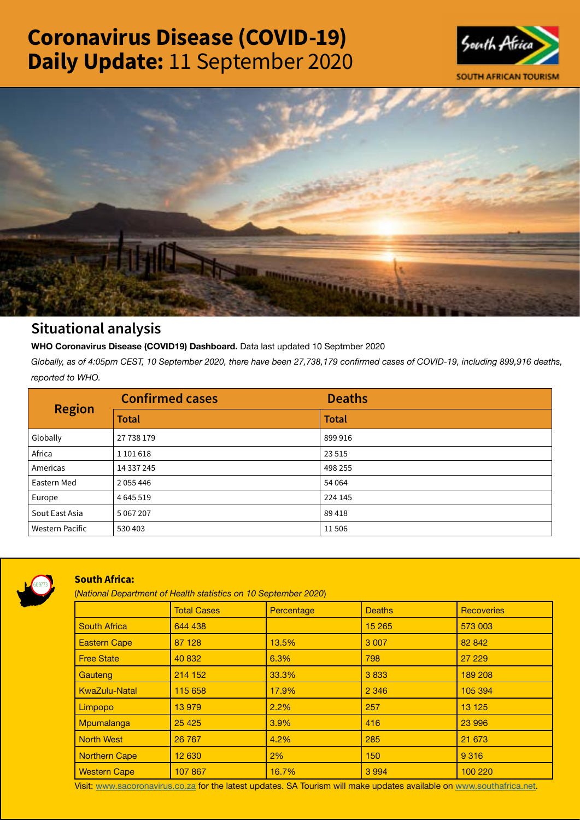# Coronavirus Disease (COVID-19) Daily Update: 11 September 2020





# Situational analysis

**WHO Coronavirus Disease (COVID19) Dashboard.** Data last updated 10 Septmber 2020

*Globally, as of 4:05pm CEST, 10 September 2020, there have been 27,738,179 confirmed cases of COVID-19, including 899,916 deaths, reported to WHO.*

| <b>Region</b>          | <b>Confirmed cases</b> | <b>Deaths</b> |
|------------------------|------------------------|---------------|
|                        | <b>Total</b>           | <b>Total</b>  |
| Globally               | 27 738 179             | 899916        |
| Africa                 | 1 101 618              | 23 5 15       |
| Americas               | 14 337 245             | 498 255       |
| Eastern Med            | 2 0 5 4 4 4 6          | 54 064        |
| Europe                 | 4 6 4 5 5 1 9          | 224 145       |
| Sout East Asia         | 5 067 207              | 89418         |
| <b>Western Pacific</b> | 530 403                | 11506         |



# South Africa:

(*National Department of Health statistics on 10 September 2020*)

|                      | <b>Total Cases</b> | Percentage | <b>Deaths</b> | <b>Recoveries</b> |  |  |
|----------------------|--------------------|------------|---------------|-------------------|--|--|
| <b>South Africa</b>  | 644 438            |            | 15 265        | 573 003           |  |  |
| <b>Eastern Cape</b>  | 87 128             | 13.5%      | 3 0 0 7       | 82 842            |  |  |
| <b>Free State</b>    | 40 832             | 6.3%       | 798           | 27 229            |  |  |
| Gauteng              | 214 152            | 33.3%      | 3833          | 189 208           |  |  |
| <b>KwaZulu-Natal</b> | 115 658            | 17.9%      | 2 3 4 6       | 105 394           |  |  |
| <b>Limpopo</b>       | 13979              | 2.2%       | 257           | 13 1 25           |  |  |
| Mpumalanga           | 25 4 25            | $3.9\%$    | 416           | 23 996            |  |  |
| <b>North West</b>    | 26 767             | 4.2%       | 285           | 21 673            |  |  |
| <b>Northern Cape</b> | 12 630             | 2%         | 150           | 9 3 1 6           |  |  |
| <b>Western Cape</b>  | 107 867            | 16.7%      | 3 9 9 4       | 100 220           |  |  |

Visit: [www.sacoronavirus.co.za](http://www.sacoronavirus.co.za) for the latest updates. SA Tourism will make updates available on [www.southafrica.net.](http://www.southafrica.net)